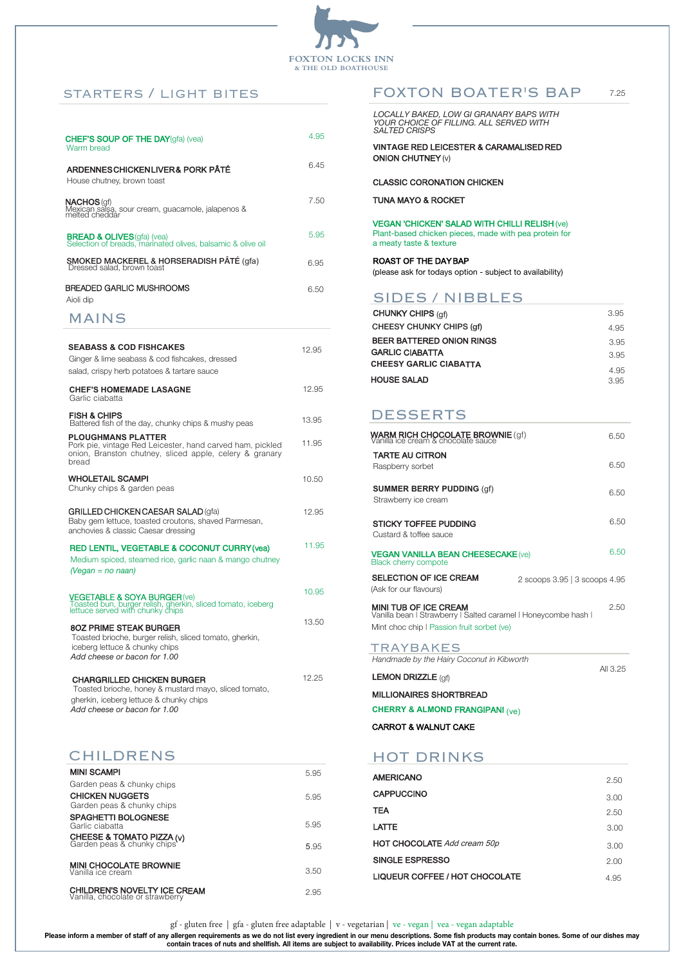

gf - gluten free | gfa - gluten free adaptable | v - vegetarian | ve - vegan | vea - vegan adaptable

**Please inform a member of staff of any allergen requirements as we do not list every ingredient in our menu descriptions. Some fish products may contain bones. Some of our dishes may contain traces of nuts and shellfish. All items are subject to availability. Prices include VAT at the current rate.**

### starters / light bites

| <b>CHEF'S SOUP OF THE DAY</b> (gfa) (yea)<br>Warm bread                                              | 4.95 |
|------------------------------------------------------------------------------------------------------|------|
| ARDENNESCHICKENLIVER& PORK PÂTÉ<br>House chutney, brown toast                                        | 6.45 |
| <b>NACHOS</b> (gf)<br>Mexican salsa, sour cream, guacamole, jalapenos &<br>melted cheddar            | 7.50 |
| <b>BREAD &amp; OLIVES</b> (gfa) (vea)<br>Selection of breads, marinated olives, balsamic & olive oil | 5.95 |
| SMOKED MACKEREL & HORSERADISH PÂTÉ (gfa)<br>Dressed salad, brown toast                               | 6.95 |
| BREADED GARLIC MUSHROOMS<br>Aioli dip                                                                | 6.50 |
|                                                                                                      |      |

All 3.25

| <b>AMERICANO</b>                      | 2.50 |
|---------------------------------------|------|
| <b>CAPPUCCINO</b>                     | 3.00 |
| TEA                                   | 2.50 |
| LATTE                                 | 3.00 |
| <b>HOT CHOCOLATE Add cream 50p</b>    | 3.00 |
| SINGLE ESPRESSO                       | 2.00 |
| <b>LIQUEUR COFFEE / HOT CHOCOLATE</b> | 4.95 |

| FOXTON BOATER'S BAP                                                                                                                      |                               | 7.25 |
|------------------------------------------------------------------------------------------------------------------------------------------|-------------------------------|------|
| LOCALLY BAKED, LOW GI GRANARY BAPS WITH<br>YOUR CHOICE OF FILLING. ALL SERVED WITH<br><b>SALTED CRISPS</b>                               |                               |      |
| <b>VINTAGE RED LEICESTER &amp; CARAMALISED RED</b><br><b>ONION CHUTNEY (v)</b>                                                           |                               |      |
| <b>CLASSIC CORONATION CHICKEN</b>                                                                                                        |                               |      |
| <b>TUNA MAYO &amp; ROCKET</b>                                                                                                            |                               |      |
| <b>VEGAN 'CHICKEN' SALAD WITH CHILLI RELISH (Ve)</b><br>Plant-based chicken pieces, made with pea protein for<br>a meaty taste & texture |                               |      |
| <b>ROAST OF THE DAYBAP</b><br>(please ask for todays option - subject to availability)                                                   |                               |      |
| <b>SIDES / NIBBLES</b>                                                                                                                   |                               |      |
| CHUNKY CHIPS (gf)                                                                                                                        |                               | 3.95 |
| <b>CHEESY CHUNKY CHIPS (gf)</b>                                                                                                          |                               | 4.95 |
| <b>BEER BATTERED ONION RINGS</b>                                                                                                         |                               | 3.95 |
| <b>GARLIC CIABATTA</b>                                                                                                                   |                               | 3.95 |
| <b>CHEESY GARLIC CIABATTA</b>                                                                                                            |                               | 4.95 |
| <b>HOUSE SALAD</b>                                                                                                                       |                               | 3.95 |
|                                                                                                                                          |                               |      |
| <b>DESSERTS</b>                                                                                                                          |                               |      |
| <b>WARM RICH CHOCOLATE BROWNIE</b> (gf)<br>Vanilla ice cream & chocolate sauce                                                           |                               | 6.50 |
| <b>TARTE AU CITRON</b>                                                                                                                   |                               |      |
| Raspberry sorbet                                                                                                                         |                               | 6.50 |
| <b>SUMMER BERRY PUDDING (gf)</b><br>Strawberry ice cream                                                                                 |                               | 6.50 |
| <b>STICKY TOFFEE PUDDING</b><br>Custard & toffee sauce                                                                                   |                               | 6.50 |
| <b>VEGAN VANILLA BEAN CHEESECAKE (Ve)</b><br><b>Black cherry compote</b>                                                                 |                               | 6.50 |
|                                                                                                                                          |                               |      |
| <b>SELECTION OF ICE CREAM</b><br>(Ask for our flavours)                                                                                  | 2 scoops 3.95   3 scoops 4.95 |      |

Vanilla bean | Strawberry | Salted caramel | Honeycombe hash Mint choc chip | Passion fruit sorbet (ve)

**TRAYBAKES** 

LEMON DRIZZLE (gf)

| <b>MINI SCAMPI</b>                                                      | 5.95                       |
|-------------------------------------------------------------------------|----------------------------|
| Garden peas & chunky chips                                              |                            |
| <b>CHICKEN NUGGETS</b>                                                  | 5.95                       |
| <b>SPAGHETTI BOLOGNESE</b><br>Garlic ciabatta                           | 5.95                       |
| <b>CHEESE &amp; TOMATO PIZZA (v)</b><br>Garden peas & chunky chips      | 5.95                       |
| <b>MINI CHOCOLATE BROWNIE</b><br>Vanilla ice cream                      | 3.50                       |
| <b>CHILDREN'S NOVELTY ICE CREAM</b><br>Vanilla, chocolate or strawberry | 2.95                       |
|                                                                         | Garden peas & chunky chips |

## MAINS

*Handmade by the Hairy Coconut in Kibworth*

MILLIONAIRES SHORTBREAD

**CHERRY & ALMOND** FRANGIPANI (ve)

| <b>SEABASS &amp; COD FISHCAKES</b>                                                                                                                                    | 12.95 |
|-----------------------------------------------------------------------------------------------------------------------------------------------------------------------|-------|
| Ginger & lime seabass & cod fishcakes, dressed                                                                                                                        |       |
| salad, crispy herb potatoes & tartare sauce                                                                                                                           |       |
| <b>CHEF'S HOMEMADE LASAGNE</b><br>Garlic ciabatta                                                                                                                     | 12.95 |
| <b>FISH &amp; CHIPS</b><br>Battered fish of the day, chunky chips & mushy peas                                                                                        | 13.95 |
| <b>PLOUGHMANS PLATTER</b><br>Pork pie, vintage Red Leicester, hand carved ham, pickled<br>onion, Branston chutney, sliced apple, celery & granary<br>bread            | 11.95 |
| <b>WHOLETAIL SCAMPI</b><br>Chunky chips & garden peas                                                                                                                 | 10.50 |
| <b>GRILLED CHICKEN CAESAR SALAD (gfa)</b><br>Baby gem lettuce, toasted croutons, shaved Parmesan,<br>anchovies & classic Caesar dressing                              | 12.95 |
| <b>RED LENTIL, VEGETABLE &amp; COCONUT CURRY (vea)</b><br>Medium spiced, steamed rice, garlic naan & mango chutney<br>$(Vegan = no naan)$                             | 11.95 |
| VEGETABLE & SOYA BURGER (ve)<br>Toasted bun, burger relish, gherkin, sliced tomato, iceberg<br>lettuce served with chunky chips                                       | 10.95 |
| <b>80Z PRIME STEAK BURGER</b><br>Toasted brioche, burger relish, sliced tomato, gherkin,<br>iceberg lettuce & chunky chips<br>Add cheese or bacon for 1.00            | 13.50 |
| <b>CHARGRILLED CHICKEN BURGER</b><br>Toasted brioche, honey & mustard mayo, sliced tomato,<br>gherkin, iceberg lettuce & chunky chips<br>Add cheese or bacon for 1.00 | 12.25 |

CARROT & WALNUT CAKE

## HOT DRINKS

# CHILDRENS